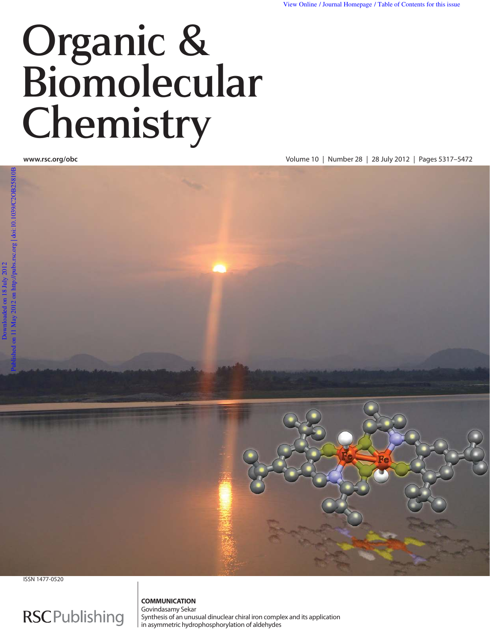# Organic & Biomolecular Chemistry

**www.rsc.org/obc** Volume 10 | Number 28 | 28 July 2012 | Pages 5317–5472





ISSN 1477-0520

## **RSCPublishing**

#### **COMMUNICATION** Govindasamy Sekar

Synthesis of an unusual dinuclear chiral iron complex and its application in asymmetric hydrophosphorylation of aldehydes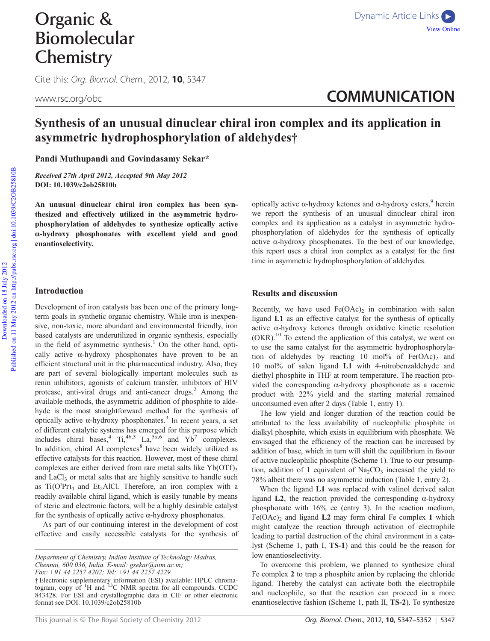Cite this: Org. Biomol. Chem., 2012, 10, 5347

www.rsc.org/obc **COMMUNICATION** 

### Synthesis of an unusual dinuclear chiral iron complex and its application in asymmetric hydrophosphorylation of aldehydes†

Pandi Muthupandi and Govindasamy Sekar\*

Received 27th April 2012, Accepted 9th May 2012 DOI: 10.1039/c2ob25810b

An unusual dinuclear chiral iron complex has been synthesized and effectively utilized in the asymmetric hydrophosphorylation of aldehydes to synthesize optically active α-hydroxy phosphonates with excellent yield and good enantioselectivity.

#### Introduction

Development of iron catalysts has been one of the primary longterm goals in synthetic organic chemistry. While iron is inexpensive, non-toxic, more abundant and environmental friendly, iron based catalysts are underutilized in organic synthesis, especially in the field of asymmetric synthesis.<sup>1</sup> On the other hand, optically active  $\alpha$ -hydroxy phosphonates have proven to be an efficient structural unit in the pharmaceutical industry. Also, they are part of several biologically important molecules such as renin inhibitors, agonists of calcium transfer, inhibitors of HIV protease, anti-viral drugs and anti-cancer drugs.<sup>2</sup> Among the available methods, the asymmetric addition of phosphite to aldehyde is the most straightforward method for the synthesis of optically active α-hydroxy phosphonates.<sup>3</sup> In recent years, a set of different catalytic systems has emerged for this purpose which includes chiral bases,<sup>4</sup>  $Ti$ ,<sup>4*b*,5</sup> La,<sup>5*a*,6</sup> and Yb<sup>7</sup> complexes. In addition, chiral Al complexes<sup>8</sup> have been widely utilized as effective catalysts for this reaction. However, most of these chiral complexes are either derived from rare metal salts like  $Yb(OTf)$ , and LaCl<sub>3</sub> or metal salts that are highly sensitive to handle such as  $Ti(O^{i}Pr)_{4}$  and Et<sub>2</sub>AlCl. Therefore, an iron complex with a readily available chiral ligand, which is easily tunable by means of steric and electronic factors, will be a highly desirable catalyst for the synthesis of optically active  $\alpha$ -hydroxy phosphonates.

As part of our continuing interest in the development of cost effective and easily accessible catalysts for the synthesis of

optically active α-hydroxy ketones and α-hydroxy esters,  $9$  herein we report the synthesis of an unusual dinuclear chiral iron complex and its application as a catalyst in asymmetric hydrophosphorylation of aldehydes for the synthesis of optically active  $\alpha$ -hydroxy phosphonates. To the best of our knowledge, this report uses a chiral iron complex as a catalyst for the first time in asymmetric hydrophosphorylation of aldehydes.

#### Results and discussion

Recently, we have used  $Fe(OAc)_2$  in combination with salen ligand L1 as an effective catalyst for the synthesis of optically active α-hydroxy ketones through oxidative kinetic resolution (OKR).<sup>10</sup> To extend the application of this catalyst, we went on to use the same catalyst for the asymmetric hydrophosphorylation of aldehydes by reacting 10 mol% of  $Fe(OAc)_2$  and 10 mol% of salen ligand L1 with 4-nitrobenzaldehyde and diethyl phosphite in THF at room temperature. The reaction provided the corresponding α-hydroxy phosphonate as a racemic product with 22% yield and the starting material remained unconsumed even after 2 days (Table 1, entry 1).

The low yield and longer duration of the reaction could be attributed to the less availability of nucleophilic phosphite in dialkyl phosphite, which exists in equilibrium with phosphate. We envisaged that the efficiency of the reaction can be increased by addition of base, which in turn will shift the equilibrium in favour of active nucleophilic phosphite (Scheme 1). True to our presumption, addition of 1 equivalent of  $Na<sub>2</sub>CO<sub>3</sub>$  increased the yield to 78% albeit there was no asymmetric induction (Table 1, entry 2).

When the ligand L1 was replaced with valinol derived salen ligand  $L2$ , the reaction provided the corresponding  $\alpha$ -hydroxy phosphonate with 16% ee (entry 3). In the reaction medium,  $Fe(OAc)_2$  and ligand L2 may form chiral Fe complex 1 which might catalyze the reaction through activation of electrophile leading to partial destruction of the chiral environment in a catalyst (Scheme 1, path I, TS-1) and this could be the reason for low enantioselectivity.

To overcome this problem, we planned to synthesize chiral Fe complex 2 to trap a phosphite anion by replacing the chloride ligand. Thereby the catalyst can activate both the electrophile and nucleophile, so that the reaction can proceed in a more enantioselective fashion (Scheme 1, path II, TS-2). To synthesize

*Department of Chemistry, Indian Institute of Technology Madras, Chennai, 600 036, India. E-mail: gsekar@iitm.ac.in; Fax: +91 44 2257 4202; Tel: +91 44 2257 4229*

<sup>†</sup>Electronic supplementary information (ESI) available: HPLC chroma-<br>togram, copy of <sup>1</sup>H and <sup>13</sup>C NMR spectra for all compounds. CCDC 843428. For ESI and crystallographic data in CIF or other electronic format see DOI: 10.1039/c2ob25810b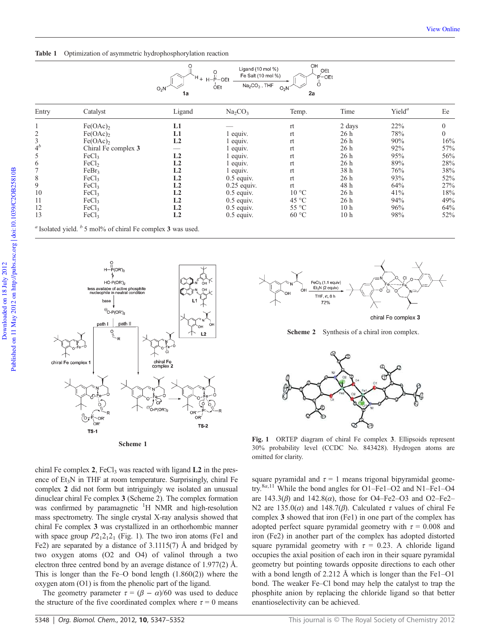Table 1 Optimization of asymmetric hydrophosphorylation reaction



...<br>P(OR').  $HO-P(OR)$ less availabe of active phosphite<br>nucleophile in neutral condition base  $\odot$ -P(OR')<sub>2</sub> nath L path I chiral Fe<br>complex 2 chiral Fe complex 1 Ъ O-P(OR')  $n<sub>0R</sub>$ OR  $\overleftarrow{0}$ R  $TS-2$  $TS-1$ 

Scheme 1

 $72%$ chiral Fe complex 3 Scheme 2 Synthesis of a chiral iron complex.

FeCl<sub>3</sub> (1.1 equiv)  $Et_3N$  (2 equiv)

THE rt 8 h



Fig. 1 ORTEP diagram of chiral Fe complex 3. Ellipsoids represent 30% probability level (CCDC No. 843428). Hydrogen atoms are omitted for clarity.

square pyramidal and  $\tau = 1$  means trigonal bipyramidal geometry.8*a*,11 While the bond angles for O1–Fe1–O2 and N1–Fe1–O4 are 143.3(β) and 142.8(α), those for O4–Fe2–O3 and O2–Fe2– N2 are 135.0( $\alpha$ ) and 148.7( $\beta$ ). Calculated  $\tau$  values of chiral Fe complex 3 showed that iron (Fe1) in one part of the complex has adopted perfect square pyramidal geometry with  $\tau = 0.008$  and iron (Fe2) in another part of the complex has adopted distorted square pyramidal geometry with  $\tau = 0.23$ . A chloride ligand occupies the axial position of each iron in their square pyramidal geometry but pointing towards opposite directions to each other with a bond length of 2.212 Å which is longer than the Fe1–O1 bond. The weaker Fe–Cl bond may help the catalyst to trap the phosphite anion by replacing the chloride ligand so that better enantioselectivity can be achieved.

chiral Fe complex 2, FeCl<sub>3</sub> was reacted with ligand  $L2$  in the presence of  $Et<sub>3</sub>N$  in THF at room temperature. Surprisingly, chiral Fe complex 2 did not form but intriguingly we isolated an unusual dinuclear chiral Fe complex 3 (Scheme 2). The complex formation was confirmed by paramagnetic  $H$  NMR and high-resolution mass spectrometry. The single crystal X-ray analysis showed that chiral Fe complex 3 was crystallized in an orthorhombic manner with space group  $P2_12_12_1$  (Fig. 1). The two iron atoms (Fe1 and Fe2) are separated by a distance of 3.1115(7) Å and bridged by two oxygen atoms (O2 and O4) of valinol through a two electron three centred bond by an average distance of 1.977(2) Å. This is longer than the Fe–O bond length (1.860(2)) where the oxygen atom (O1) is from the phenolic part of the ligand.

The geometry parameter  $\tau = (\beta - \alpha)/60$  was used to deduce the structure of the five coordinated complex where  $\tau = 0$  means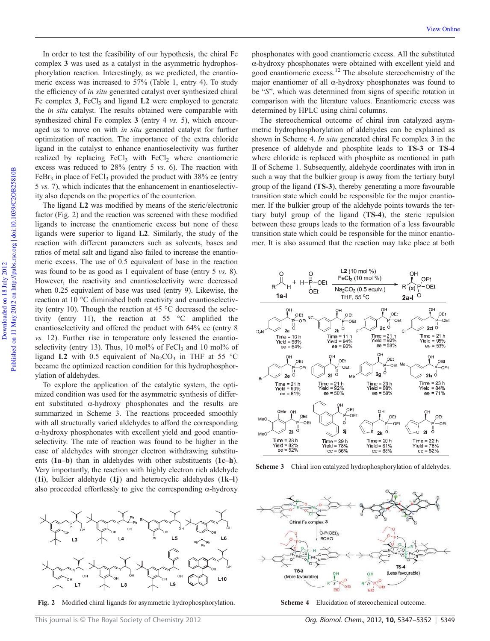In order to test the feasibility of our hypothesis, the chiral Fe complex 3 was used as a catalyst in the asymmetric hydrophosphorylation reaction. Interestingly, as we predicted, the enantiomeric excess was increased to 57% (Table 1, entry 4). To study the efficiency of *in situ* generated catalyst over synthesized chiral Fe complex 3, FeCl<sub>3</sub> and ligand  $L2$  were employed to generate the *in situ* catalyst. The results obtained were comparable with synthesized chiral Fe complex 3 (entry 4 *vs.* 5), which encouraged us to move on with *in situ* generated catalyst for further optimization of reaction. The importance of the extra chloride ligand in the catalyst to enhance enantioselectivity was further realized by replacing  $FeCl<sub>3</sub>$  with  $FeCl<sub>2</sub>$  where enantiomeric excess was reduced to 28% (entry 5 *vs.* 6). The reaction with FeBr<sub>3</sub> in place of FeCl<sub>3</sub> provided the product with  $38\%$  ee (entry 5 *vs.* 7), which indicates that the enhancement in enantioselectivity also depends on the properties of the counterion.

The ligand L2 was modified by means of the steric/electronic factor (Fig. 2) and the reaction was screened with these modified ligands to increase the enantiomeric excess but none of these ligands were superior to ligand L2. Similarly, the study of the reaction with different parameters such as solvents, bases and ratios of metal salt and ligand also failed to increase the enantiomeric excess. The use of 0.5 equivalent of base in the reaction was found to be as good as 1 equivalent of base (entry 5 *vs.* 8). However, the reactivity and enantioselectivity were decreased when 0.25 equivalent of base was used (entry 9). Likewise, the reaction at 10 °C diminished both reactivity and enantioselectivity (entry 10). Though the reaction at 45 °C decreased the selectivity (entry 11), the reaction at 55 °C amplified the enantioselectivity and offered the product with 64% ee (entry 8 *vs.* 12). Further rise in temperature only lessened the enantioselectivity (entry 13). Thus, 10 mol% of FeCl<sub>3</sub> and 10 mol% of ligand L2 with 0.5 equivalent of  $\text{Na}_2\text{CO}_3$  in THF at 55 °C became the optimized reaction condition for this hydrophosphorylation of aldehydes.

To explore the application of the catalytic system, the optimized condition was used for the asymmetric synthesis of different substituted  $\alpha$ -hydroxy phosphonates and the results are summarized in Scheme 3. The reactions proceeded smoothly with all structurally varied aldehydes to afford the corresponding α-hydroxy phosphonates with excellent yield and good enantioselectivity. The rate of reaction was found to be higher in the case of aldehydes with stronger electron withdrawing substituents (1a–b) than in aldehydes with other substituents (1c–h). Very importantly, the reaction with highly electron rich aldehyde (1i), bulkier aldehyde (1j) and heterocyclic aldehydes (1k–l) also proceeded effortlessly to give the corresponding  $\alpha$ -hydroxy



Fig. 2 Modified chiral ligands for asymmetric hydrophosphorylation.

phosphonates with good enantiomeric excess. All the substituted α-hydroxy phosphonates were obtained with excellent yield and good enantiomeric excess.<sup>12</sup> The absolute stereochemistry of the major enantiomer of all α-hydroxy phosphonates was found to be "*S*", which was determined from signs of specific rotation in comparison with the literature values. Enantiomeric excess was determined by HPLC using chiral columns.

The stereochemical outcome of chiral iron catalyzed asymmetric hydrophosphorylation of aldehydes can be explained as shown in Scheme 4. *In situ* generated chiral Fe complex 3 in the presence of aldehyde and phosphite leads to TS-3 or TS-4 where chloride is replaced with phosphite as mentioned in path II of Scheme 1. Subsequently, aldehyde coordinates with iron in such a way that the bulkier group is away from the tertiary butyl group of the ligand (TS-3), thereby generating a more favourable transition state which could be responsible for the major enantiomer. If the bulkier group of the aldehyde points towards the tertiary butyl group of the ligand (TS-4), the steric repulsion between these groups leads to the formation of a less favourable transition state which could be responsible for the minor enantiomer. It is also assumed that the reaction may take place at both



Scheme 3 Chiral iron catalyzed hydrophosphorylation of aldehydes.



Scheme 4 Elucidation of stereochemical outcome.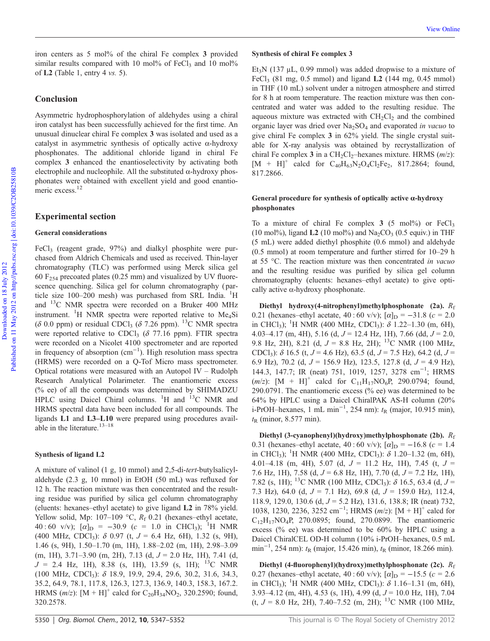iron centers as 5 mol% of the chiral Fe complex 3 provided similar results compared with 10 mol% of FeCl<sub>3</sub> and 10 mol% of L2 (Table 1, entry 4 *vs.* 5).

#### **Conclusion**

Asymmetric hydrophosphorylation of aldehydes using a chiral iron catalyst has been successfully achieved for the first time. An unusual dinuclear chiral Fe complex 3 was isolated and used as a catalyst in asymmetric synthesis of optically active α-hydroxy phosphonates. The additional chloride ligand in chiral Fe complex 3 enhanced the enantioselectivity by activating both electrophile and nucleophile. All the substituted  $\alpha$ -hydroxy phosphonates were obtained with excellent yield and good enantiomeric excess.<sup>12</sup>

#### Experimental section

#### General considerations

FeCl<sub>3</sub> (reagent grade, 97%) and dialkyl phosphite were purchased from Aldrich Chemicals and used as received. Thin-layer chromatography (TLC) was performed using Merck silica gel 60  $F_{254}$  precoated plates (0.25 mm) and visualized by UV fluorescence quenching. Silica gel for column chromatography ( particle size 100–200 mesh) was purchased from SRL India. <sup>1</sup>H and <sup>13</sup>C NMR spectra were recorded on a Bruker 400 MHz instrument. <sup>1</sup>H NMR spectra were reported relative to Me<sub>4</sub>Si ( $\delta$  0.0 ppm) or residual CDCl<sub>3</sub> ( $\delta$  7.26 ppm). <sup>13</sup>C NMR spectra were reported relative to CDCl<sub>3</sub> ( $\delta$  77.16 ppm). FTIR spectra were recorded on a Nicolet 4100 spectrometer and are reported in frequency of absorption (cm−<sup>1</sup> ). High resolution mass spectra (HRMS) were recorded on a Q-Tof Micro mass spectrometer. Optical rotations were measured with an Autopol IV – Rudolph Research Analytical Polarimeter. The enantiomeric excess (% ee) of all the compounds was determined by SHIMADZU HPLC using Daicel Chiral columns.  ${}^{1}H$  and  ${}^{13}C$  NMR and HRMS spectral data have been included for all compounds. The ligands L1 and L3–L10 were prepared using procedures available in the literature.<sup>13-18</sup>

#### Synthesis of ligand L2

A mixture of valinol (1 g, 10 mmol) and 2,5-di-*tert*-butylsalicylaldehyde (2.3 g, 10 mmol) in EtOH (50 mL) was refluxed for 12 h. The reaction mixture was then concentrated and the resulting residue was purified by silica gel column chromatography (eluents: hexanes–ethyl acetate) to give ligand L2 in 78% yield. Yellow solid, Mp: 107-109 °C,  $R_f$  0.21 (hexanes-ethyl acetate, 40:60 v/v);  $[\alpha]_D = -30.9$  ( $c = 1.0$  in CHCl<sub>3</sub>); <sup>1</sup>H NMR (400 MHz, CDCl<sup>3</sup> ): δ 0.97 (t, *J* = 6.4 Hz, 6H), 1.32 (s, 9H), 1.46 (s, 9H), 1.50–1.70 (m, 1H), 1.88–2.02 (m, 1H), 2.98–3.09 (m, 1H), 3.71–3.90 (m, 2H), 7.13 (d, *J* = 2.0 Hz, 1H), 7.41 (d,  $J = 2.4$  Hz, 1H), 8.38 (s, 1H), 13.59 (s, 1H); <sup>13</sup>C NMR (100 MHz, CDCl<sup>3</sup> ): δ 18.9, 19.9, 29.4, 29.6, 30.2, 31.6, 34.3, 35.2, 64.9, 78.1, 117.8, 126.3, 127.3, 136.9, 140.3, 158.3, 167.2. HRMS  $(m/z)$ :  $[M + H]^+$  calcd for  $C_{20}H_{34}NO_2$ , 320.2590; found, 320.2578.

#### Synthesis of chiral Fe complex 3

Et<sub>3</sub>N (137 μL, 0.99 mmol) was added dropwise to a mixture of FeCl<sub>3</sub> (81 mg, 0.5 mmol) and ligand **L2** (144 mg, 0.45 mmol) in THF (10 mL) solvent under a nitrogen atmosphere and stirred for 8 h at room temperature. The reaction mixture was then concentrated and water was added to the resulting residue. The aqueous mixture was extracted with  $CH<sub>2</sub>Cl<sub>2</sub>$  and the combined organic layer was dried over Na2SO<sup>4</sup> and evaporated *in vacuo* to give chiral Fe complex 3 in 62% yield. The single crystal suitable for X-ray analysis was obtained by recrystallization of chiral Fe complex 3 in a CH<sub>2</sub>Cl<sub>2</sub>-hexanes mixture. HRMS (*m*/*z*):  $[M + H]^{+}$  calcd for  $C_{40}H_{63}N_{2}O_{4}Cl_{2}Fe_{2}$ , 817.2864; found, 817.2866.

#### General procedure for synthesis of optically active α-hydroxy phosphonates

To a mixture of chiral Fe complex  $3$  (5 mol%) or FeCl<sub>3</sub> (10 mol%), ligand **L2** (10 mol%) and  $\text{Na}_2\text{CO}_3$  (0.5 equiv.) in THF (5 mL) were added diethyl phosphite (0.6 mmol) and aldehyde (0.5 mmol) at room temperature and further stirred for 10–29 h at 55 °C. The reaction mixture was then concentrated *in vacuo* and the resulting residue was purified by silica gel column chromatography (eluents: hexanes–ethyl acetate) to give optically active  $\alpha$ -hydroxy phosphonate.

Diethyl hydroxy(4-nitrophenyl)methylphosphonate (2a).  $R_f$ 0.21 (hexanes–ethyl acetate,  $40:60 \text{ v/v}$ );  $[\alpha]_D = -31.8 \text{ } (c = 2.0)$ in CHCl<sub>3</sub>); <sup>1</sup>H NMR (400 MHz, CDCl<sub>3</sub>):  $\delta$  1.22–1.30 (m, 6H), 4.03–4.17 (m, 4H), 5.16 (d, *J* = 12.4 Hz, 1H), 7.66 (dd, *J* = 2.0, 9.8 Hz, 2H), 8.21 (d,  $J = 8.8$  Hz, 2H); <sup>13</sup>C NMR (100 MHz, CDCl<sup>3</sup> ): δ 16.5 (t, *J* = 4.6 Hz), 63.5 (d, *J* = 7.5 Hz), 64.2 (d, *J* = 6.9 Hz), 70.2 (d, *J* = 156.9 Hz), 123.5, 127.8 (d, *J* = 4.9 Hz), 144.3, 147.7; IR (neat) 751, 1019, 1257, 3278 cm<sup>-1</sup>; HRMS  $(m/z)$ : [M + H]<sup>+</sup> calcd for C<sub>11</sub>H<sub>17</sub>NO<sub>6</sub>P, 290.0794; found, 290.0791. The enantiomeric excess (% ee) was determined to be 64% by HPLC using a Daicel ChiralPAK AS-H column (20% i-PrOH–hexanes, 1 mL min<sup>-1</sup>, 254 nm): *t*<sub>R</sub> (major, 10.915 min),  $t<sub>R</sub>$  (minor, 8.577 min).

Diethyl (3-cyanophenyl)(hydroxy)methylphosphonate (2b). *R*<sup>f</sup> 0.31 (hexanes–ethyl acetate,  $40:60 \text{ v/v}$ );  $[\alpha]_{\text{D}} = -16.8 \text{ } (c = 1.4)$ in CHCl<sub>3</sub>); <sup>1</sup>H NMR (400 MHz, CDCl<sub>3</sub>):  $\delta$  1.20–1.32 (m, 6H), 4.01–4.18 (m, 4H), 5.07 (d, *J* = 11.2 Hz, 1H), 7.45 (t, *J* = 7.6 Hz, 1H), 7.58 (d, *J* = 6.8 Hz, 1H), 7.70 (d, *J* = 7.2 Hz, 1H), 7.82 (s, 1H); <sup>13</sup>C NMR (100 MHz, CDCl<sub>3</sub>): δ 16.5, 63.4 (d, *J* = 7.3 Hz), 64.0 (d, *J* = 7.1 Hz), 69.8 (d, *J* = 159.0 Hz), 112.4, 118.9, 129.0, 130.6 (d, *J* = 5.2 Hz), 131.6, 138.8; IR (neat) 732, 1038, 1230, 2236, 3252 cm<sup>-1</sup>; HRMS (*m*/*z*): [M + H]<sup>+</sup> calcd for  $C_{12}H_{17}NO_4P$ , 270.0895; found, 270.0899. The enantiomeric excess (% ee) was determined to be 60% by HPLC using a Daicel ChiralCEL OD-H column (10% i-PrOH–hexanes, 0.5 mL min<sup>-1</sup>, 254 nm): *t*<sub>R</sub> (major, 15.426 min), *t*<sub>R</sub> (minor, 18.266 min).

Diethyl (4-fluorophenyl)(hydroxy)methylphosphonate (2c).  $R_f$ 0.27 (hexanes–ethyl acetate,  $40:60 \text{ v/v}$ );  $[\alpha]_D = -15.5 \text{ } (c = 2.6$ in CHCl<sub>3</sub>); <sup>1</sup>H NMR (400 MHz, CDCl<sub>3</sub>):  $\delta$  1.16–1.31 (m, 6H), 3.93–4.12 (m, 4H), 4.53 (s, 1H), 4.99 (d, *J* = 10.0 Hz, 1H), 7.04 (t,  $J = 8.0$  Hz, 2H), 7.40–7.52 (m, 2H); <sup>13</sup>C NMR (100 MHz,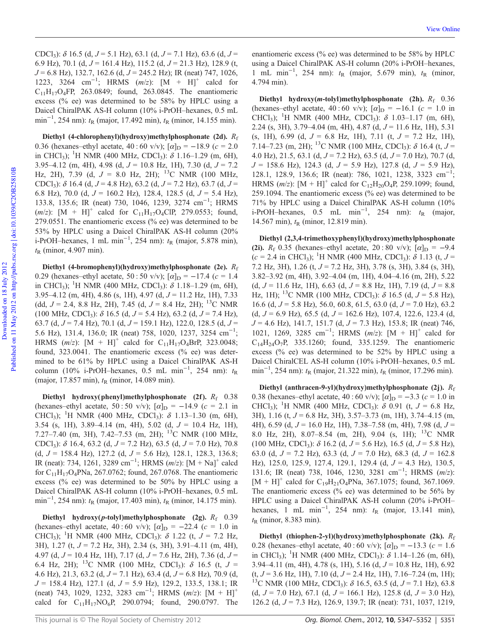CDCl<sup>3</sup> ): δ 16.5 (d, *J* = 5.1 Hz), 63.1 (d, *J* = 7.1 Hz), 63.6 (d, *J* = 6.9 Hz), 70.1 (d, *J* = 161.4 Hz), 115.2 (d, *J* = 21.3 Hz), 128.9 (t, *J* = 6.8 Hz), 132.7, 162.6 (d, *J* = 245.2 Hz); IR (neat) 747, 1026, 1223, 3264 cm−<sup>1</sup> ; HRMS (*m*/*z*): [M + H]<sup>+</sup> calcd for  $C_{11}H_{17}O_4$ FP, 263.0849; found, 263.0845. The enantiomeric excess (% ee) was determined to be 58% by HPLC using a Daicel ChiralPAK AS-H column (10% i-PrOH–hexanes, 0.5 mL min<sup>-1</sup>, 254 nm): *t*<sub>R</sub> (major, 17.492 min), *t*<sub>R</sub> (minor, 14.155 min).

Diethyl (4-chlorophenyl)(hydroxy)methylphosphonate (2d). *R*<sup>f</sup> 0.36 (hexanes–ethyl acetate,  $40:60 \text{ v/v}$ );  $[\alpha]_{\text{D}} = -18.9 \text{ (}c = 2.0$ in CHCl<sub>3</sub>); <sup>1</sup>H NMR (400 MHz, CDCl<sub>3</sub>):  $\delta$  1.16–1.29 (m, 6H), 3.95–4.12 (m, 4H), 4.98 (d, *J* = 10.8 Hz, 1H), 7.30 (d, *J* = 7.2 Hz, 2H), 7.39 (d,  $J = 8.0$  Hz, 2H); <sup>13</sup>C NMR (100 MHz, CDCl<sup>3</sup> ): δ 16.4 (d, *J* = 4.8 Hz), 63.2 (d, *J* = 7.2 Hz), 63.7 (d, *J* = 6.8 Hz), 70.0 (d, *J* = 160.2 Hz), 128.4, 128.5 (d, *J* = 5.4 Hz), 133.8, 135.6; IR (neat) 730, 1046, 1239, 3274 cm<sup>-1</sup>; HRMS  $(m/z)$ :  $[M + H]^{+}$  calcd for  $C_{11}H_{17}O_{4}ClP$ , 279.0553; found, 279.0551. The enantiomeric excess (% ee) was determined to be 53% by HPLC using a Daicel ChiralPAK AS-H column (20% i-PrOH–hexanes, 1 mL min<sup>-1</sup>, 254 nm): *t*<sub>R</sub> (major, 5.878 min),  $t<sub>R</sub>$  (minor, 4.907 min).

Diethyl (4-bromophenyl)(hydroxy)methylphosphonate (2e). *R*<sup>f</sup> 0.29 (hexanes–ethyl acetate, 50 : 50 v/v);  $[\alpha]_D = -17.4$  ( $c = 1.4$ ) in CHCl<sub>3</sub>); <sup>1</sup>H NMR (400 MHz, CDCl<sub>3</sub>):  $\delta$  1.18–1.29 (m, 6H), 3.95–4.12 (m, 4H), 4.86 (s, 1H), 4.97 (d, *J* = 11.2 Hz, 1H), 7.33 (dd, *J* = 2.4, 8.8 Hz, 2H), 7.45 (d, *J* = 8.4 Hz, 2H); <sup>13</sup>C NMR (100 MHz, CDCl<sup>3</sup> ): δ 16.5 (d, *J* = 5.4 Hz), 63.2 (d, *J* = 7.4 Hz), 63.7 (d, *J* = 7.4 Hz), 70.1 (d, *J* = 159.1 Hz), 122.0, 128.5 (d, *J* = 5.6 Hz), 131.4, 136.0; IR (neat) 758, 1020, 1237, 3254 cm−<sup>1</sup> ; HRMS  $(m/z)$ :  $[M + H]^{+}$  calcd for C<sub>11</sub>H<sub>17</sub>O<sub>4</sub>BrP, 323.0048; found, 323.0041. The enantiomeric excess (% ee) was determined to be 61% by HPLC using a Daicel ChiralPAK AS-H column (10% i-PrOH–hexanes, 0.5 mL min−<sup>1</sup> , 254 nm): *t*<sup>R</sup> (major, 17.857 min),  $t<sub>R</sub>$  (minor, 14.089 min).

Diethyl hydroxy(phenyl)methylphosphonate (2f).  $R_f$  0.38 (hexanes–ethyl acetate, 50 : 50 v/v);  $[\alpha]_D = -14.9$  ( $c = 2.1$  in CHCl<sub>3</sub>); <sup>1</sup>H NMR (400 MHz, CDCl<sub>3</sub>):  $\delta$  1.13–1.30 (m, 6H), 3.54 (s, 1H), 3.89–4.14 (m, 4H), 5.02 (d, *J* = 10.4 Hz, 1H), 7.27–7.40 (m, 3H), 7.42–7.53 (m, 2H); <sup>13</sup>C NMR (100 MHz, CDCl<sup>3</sup> ): δ 16.4, 63.2 (d, *J* = 7.2 Hz), 63.5 (d, *J* = 7.0 Hz), 70.8 (d, *J* = 158.4 Hz), 127.2 (d, *J* = 5.6 Hz), 128.1, 128.3, 136.8; IR (neat): 734, 1261, 3289 cm−<sup>1</sup> ; HRMS (*m*/*z*): [M + Na]<sup>+</sup> calcd for  $C_{11}H_{17}O_4$ PNa, 267.0762; found, 267.0768. The enantiomeric excess (% ee) was determined to be 50% by HPLC using a Daicel ChiralPAK AS-H column (10% i-PrOH–hexanes, 0.5 mL min<sup>-1</sup>, 254 nm): *t*<sub>R</sub> (major, 17.403 min), *t*<sub>R</sub> (minor, 14.175 min).

Diethyl hydroxy(p-tolyl)methylphosphonate (2g).  $R_f$  0.39 (hexanes–ethyl acetate,  $40:60 \text{ v/v}$ );  $[\alpha]_{\text{D}} = -22.4 \text{ } (c = 1.0 \text{ in}$ CHCl<sub>3</sub>); <sup>1</sup>H NMR (400 MHz, CDCl<sub>3</sub>):  $\delta$  1.22 (t,  $J = 7.2$  Hz, 3H), 1.27 (t, *J* = 7.2 Hz, 3H), 2.34 (s, 3H), 3.91–4.11 (m, 4H), 4.97 (d, *J* = 10.4 Hz, 1H), 7.17 (d, *J* = 7.6 Hz, 2H), 7.36 (d, *J* = 6.4 Hz, 2H); <sup>13</sup>C NMR (100 MHz, CDCl<sub>3</sub>):  $\delta$  16.5 (t, *J* = 4.6 Hz), 21.3, 63.2 (d, *J* = 7.1 Hz), 63.4 (d, *J* = 6.8 Hz), 70.9 (d, *J* = 158.4 Hz), 127.1 (d, *J* = 5.9 Hz), 129.2, 133.5, 138.1; IR (neat) 743, 1029, 1232, 3283 cm−<sup>1</sup> ; HRMS (*m*/*z*): [M + H]<sup>+</sup> calcd for  $C_{11}H_{17}NO_6P$ , 290.0794; found, 290.0797. The enantiomeric excess (% ee) was determined to be 58% by HPLC using a Daicel ChiralPAK AS-H column (20% i-PrOH–hexanes, 1 mL min<sup>-1</sup>, 254 nm): *t*<sub>R</sub> (major, 5.679 min), *t*<sub>R</sub> (minor, 4.794 min).

Diethyl hydroxy(m-tolyl)methylphosphonate (2h).  $R_f$  0.36 (hexanes–ethyl acetate,  $40:60 \text{ v/v}$ );  $[\alpha]_{\text{D}} = -16.1$  ( $c = 1.0 \text{ in}$ CHCl<sub>3</sub>); <sup>1</sup>H NMR (400 MHz, CDCl<sub>3</sub>):  $\delta$  1.03–1.17 (m, 6H), 2.24 (s, 3H), 3.79–4.04 (m, 4H), 4.87 (d, *J* = 11.6 Hz, 1H), 5.31 (s, 1H), 6.99 (d, *J* = 6.8 Hz, 1H), 7.11 (t, *J* = 7.2 Hz, 1H), 7.14–7.23 (m, 2H); <sup>13</sup>C NMR (100 MHz, CDCl<sub>3</sub>):  $\delta$  16.4 (t, *J* = 4.0 Hz), 21.5, 63.1 (d, *J* = 7.2 Hz), 63.5 (d, *J* = 7.0 Hz), 70.7 (d, *J* = 158.6 Hz), 124.3 (d, *J* = 5.9 Hz), 127.8 (d, *J* = 5.9 Hz), 128.1, 128.9, 136.6; IR (neat): 786, 1021, 1238, 3323 cm−<sup>1</sup> ; HRMS ( $m/z$ ): [M + H]<sup>+</sup> calcd for C<sub>12</sub>H<sub>20</sub>O<sub>4</sub>P, 259.1099; found, 259.1094. The enantiomeric excess (% ee) was determined to be 71% by HPLC using a Daicel ChiralPAK AS-H column (10% i-PrOH–hexanes,  $0.5$  mL min<sup>-1</sup>, 254 nm):  $t<sub>R</sub>$  (major, 14.567 min),  $t_{\text{R}}$  (minor, 12.819 min).

Diethyl (2,3,4-trimethoxyphenyl)(hydroxy)methylphosphonate (2i).  $R_f$  0.35 (hexanes–ethyl acetate, 20 : 80 v/v);  $[\alpha]_D = -9.4$  $(c = 2.4$  in CHCl<sub>3</sub>); <sup>1</sup>H NMR (400 MHz, CDCl<sub>3</sub>):  $\delta$  1.13 (t, *J* = 7.2 Hz, 3H), 1.26 (t, *J* = 7.2 Hz, 3H), 3.78 (s, 3H), 3.84 (s, 3H), 3.82–3.92 (m, 4H), 3.92–4.04 (m, 1H), 4.04–4.16 (m, 2H), 5.22 (d, *J* = 11.6 Hz, 1H), 6.63 (d, *J* = 8.8 Hz, 1H), 7.19 (d, *J* = 8.8 Hz, 1H); <sup>13</sup>C NMR (100 MHz, CDCl<sub>3</sub>):  $\delta$  16.5 (d,  $J = 5.8$  Hz), 16.6 (d, *J* = 5.8 Hz), 56.0, 60.8, 61.5, 63.0 (d, *J* = 7.0 Hz), 63.2 (d,  $J = 6.9$  Hz), 65.5 (d,  $J = 162.6$  Hz), 107.4, 122.6, 123.4 (d, *J* = 4.6 Hz), 141.7, 151.7 (d, *J* = 7.3 Hz), 153.8; IR (neat) 746, 1021, 1269, 3285 cm<sup>-1</sup>; HRMS (m/z): [M + H]<sup>+</sup> calcd for  $C_{14}H_{24}O_7P$ , 335.1260; found, 335.1259. The enantiomeric excess (% ee) was determined to be 52% by HPLC using a Daicel ChiralCEL AS-H column (10% i-PrOH–hexanes, 0.5 mL min<sup>-1</sup>, 254 nm): *t*<sub>R</sub> (major, 21.322 min), *t*<sub>R</sub> (minor, 17.296 min).

Diethyl (anthracen-9-yl)(hydroxy)methylphosphonate (2j).  $R_f$ 0.38 (hexanes–ethyl acetate,  $40:60 \text{ v/v}$ );  $[\alpha]_{\text{D}} = -3.3 \text{ (}c = 1.0 \text{ in}$ CHCl<sub>3</sub>); <sup>1</sup>H NMR (400 MHz, CDCl<sub>3</sub>):  $\delta$  0.91 (t, *J* = 6.8 Hz, 3H), 1.16 (t, *J* = 6.8 Hz, 3H), 3.57–3.73 (m, 1H), 3.74–4.15 (m, 4H), 6.59 (d, *J* = 16.0 Hz, 1H), 7.38–7.58 (m, 4H), 7.98 (d, *J* = 8.0 Hz, 2H), 8.07–8.54 (m, 2H), 9.04 (s, 1H); <sup>13</sup>C NMR (100 MHz, CDCl<sup>3</sup> ): δ 16.2 (d, *J* = 5.6 Hz), 16.5 (d, *J* = 5.8 Hz), 63.0 (d, *J* = 7.2 Hz), 63.3 (d, *J* = 7.0 Hz), 68.3 (d, *J* = 162.8 Hz), 125.0, 125.9, 127.4, 129.1, 129.4 (d, *J* = 4.3 Hz), 130.5, 131.6; IR (neat) 738, 1046, 1230, 3281 cm−<sup>1</sup> ; HRMS (*m*/*z*):  $[M + H]^+$  calcd for C<sub>19</sub>H<sub>21</sub>O<sub>4</sub>PNa, 367.1075; found, 367.1069. The enantiomeric excess (% ee) was determined to be  $56\%$  by HPLC using a Daicel ChiralPAK AS-H column (20% i-PrOH– hexanes,  $1 \text{ mL } \text{min}^{-1}$ , 254 nm):  $t_R$  (major, 13.141 min),  $t_{\rm R}$  (minor, 8.383 min).

Diethyl (thiophen-2-yl)(hydroxy)methylphosphonate (2k).  $R_f$ 0.28 (hexanes–ethyl acetate,  $40:60 \text{ v/v}$ );  $[\alpha]_{\text{D}} = -13.3 \text{ } (c = 1.6)$ in CHCl<sub>3</sub>); <sup>1</sup>H NMR (400 MHz, CDCl<sub>3</sub>):  $\delta$  1.14–1.26 (m, 6H), 3.94–4.11 (m, 4H), 4.78 (s, 1H), 5.16 (d, *J* = 10.8 Hz, 1H), 6.92 (t, *J* = 3.6 Hz, 1H), 7.10 (d, *J* = 2.4 Hz, 1H), 7.16–7.24 (m, 1H); <sup>13</sup>C NMR (100 MHz, CDCl<sub>3</sub>):  $\delta$  16.5, 63.5 (d, *J* = 7.1 Hz), 63.8 (d, *J* = 7.0 Hz), 67.1 (d, *J* = 166.1 Hz), 125.8 (d, *J* = 3.0 Hz), 126.2 (d, *J* = 7.3 Hz), 126.9, 139.7; IR (neat): 731, 1037, 1219,